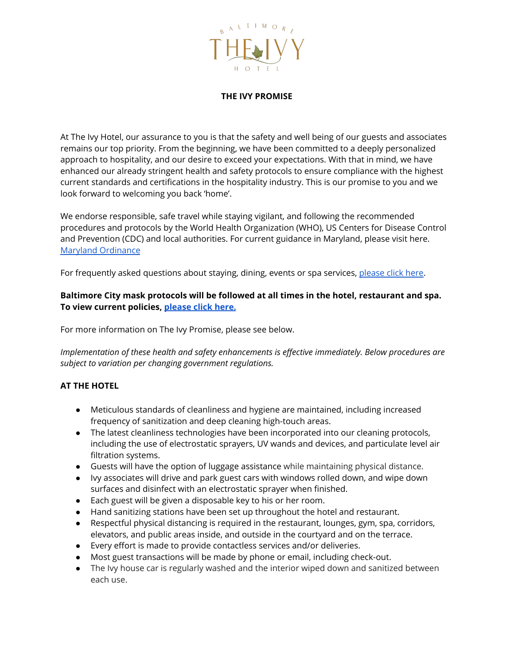

### **THE IVY PROMISE**

At The Ivy Hotel, our assurance to you is that the safety and well being of our guests and associates remains our top priority. From the beginning, we have been committed to a deeply personalized approach to hospitality, and our desire to exceed your expectations. With that in mind, we have enhanced our already stringent health and safety protocols to ensure compliance with the highest current standards and certifications in the hospitality industry. This is our promise to you and we look forward to welcoming you back 'home'.

We endorse responsible, safe travel while staying vigilant, and following the recommended procedures and protocols by the World Health Organization (WHO), US Centers for Disease Control and Prevention (CDC) and local authorities. For current guidance in Maryland, please visit here. Maryland [Ordinance](https://governor.maryland.gov/coronavirus/)

For frequently asked questions about staying, dining, events or spa services, [please](http://theivybaltimore.com/the-ivy-promise) click here.

## **Baltimore City mask protocols will be followed at all times in the hotel, restaurant and spa. To view current policies, [please](https://coronavirus.baltimorecity.gov/) click here.**

For more information on The Ivy Promise, please see below.

*Implementation of these health and safety enhancements is effective immediately. Below procedures are subject to variation per changing government regulations.*

## **AT THE HOTEL**

- Meticulous standards of cleanliness and hygiene are maintained, including increased frequency of sanitization and deep cleaning high-touch areas.
- The latest cleanliness technologies have been incorporated into our cleaning protocols, including the use of electrostatic sprayers, UV wands and devices, and particulate level air filtration systems.
- Guests will have the option of luggage assistance while maintaining physical distance.
- Ivy associates will drive and park guest cars with windows rolled down, and wipe down surfaces and disinfect with an electrostatic sprayer when finished.
- Each guest will be given a disposable key to his or her room.
- Hand sanitizing stations have been set up throughout the hotel and restaurant.
- Respectful physical distancing is required in the restaurant, lounges, gym, spa, corridors, elevators, and public areas inside, and outside in the courtyard and on the terrace.
- Every effort is made to provide contactless services and/or deliveries.
- Most guest transactions will be made by phone or email, including check-out.
- The Ivy house car is regularly washed and the interior wiped down and sanitized between each use.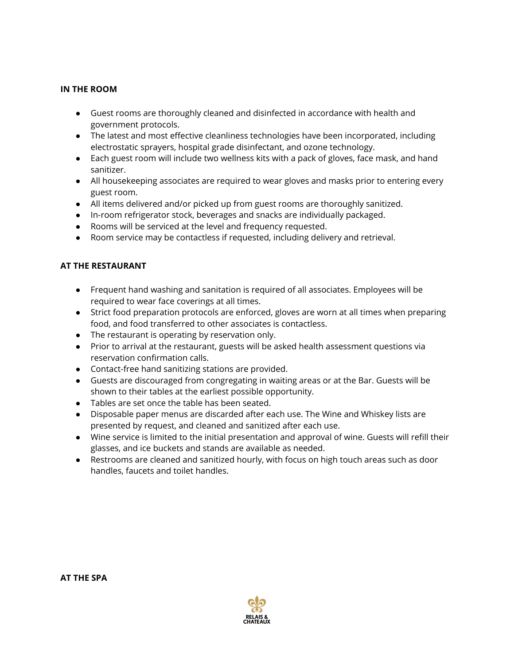## **IN THE ROOM**

- Guest rooms are thoroughly cleaned and disinfected in accordance with health and government protocols.
- The latest and most effective cleanliness technologies have been incorporated, including electrostatic sprayers, hospital grade disinfectant, and ozone technology.
- Each guest room will include two wellness kits with a pack of gloves, face mask, and hand sanitizer.
- All housekeeping associates are required to wear gloves and masks prior to entering every guest room.
- All items delivered and/or picked up from guest rooms are thoroughly sanitized.
- In-room refrigerator stock, beverages and snacks are individually packaged.
- Rooms will be serviced at the level and frequency requested.
- Room service may be contactless if requested, including delivery and retrieval.

## **AT THE RESTAURANT**

- Frequent hand washing and sanitation is required of all associates. Employees will be required to wear face coverings at all times.
- Strict food preparation protocols are enforced, gloves are worn at all times when preparing food, and food transferred to other associates is contactless.
- The restaurant is operating by reservation only.
- Prior to arrival at the restaurant, guests will be asked health assessment questions via reservation confirmation calls.
- Contact-free hand sanitizing stations are provided.
- Guests are discouraged from congregating in waiting areas or at the Bar. Guests will be shown to their tables at the earliest possible opportunity.
- Tables are set once the table has been seated.
- Disposable paper menus are discarded after each use. The Wine and Whiskey lists are presented by request, and cleaned and sanitized after each use.
- Wine service is limited to the initial presentation and approval of wine. Guests will refill their glasses, and ice buckets and stands are available as needed.
- Restrooms are cleaned and sanitized hourly, with focus on high touch areas such as door handles, faucets and toilet handles.

**AT THE SPA**